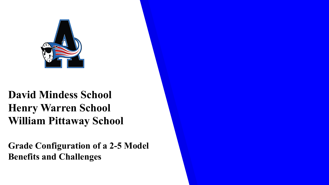

## **David Mindess School Henry Warren School William Pittaway School**

**Grade Configuration of a 2-5 Model Benefits and Challenges**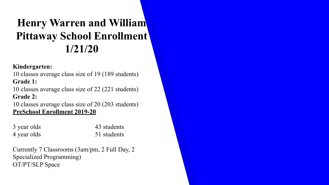# **Henry Warren and William Pittaway School Enrollment 1/21/20**

#### **Kindergarten:**

10 classes average class size of 19 (189 students) **Grade 1:**

10 classes average class size of 22 (221 students) **Grade 2:**

10 classes average class size of 20 (203 students) **PreSchool Enrollment 2019-20**

| 3 year olds | 43 students |
|-------------|-------------|
| 4 year olds | 51 students |

Currently 7 Classrooms (3am/pm, 2 Full Day, 2 Specialized Programming) OT/PT/SLP Space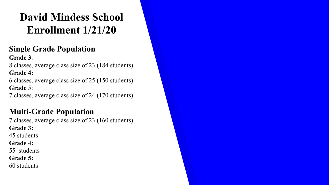# **David Mindess School Enrollment 1/21/20**

#### **Single Grade Population Grade 3**:

8 classes, average class size of 23 (184 students) **Grade 4:** 

6 classes, average class size of 25 (150 students) **Grade** 5:

7 classes, average class size of 24 (170 students)

## **Multi-Grade Population**

7 classes, average class size of 23 (160 students) **Grade 3:** 45 students **Grade 4:** 55 students **Grade 5:**  60 students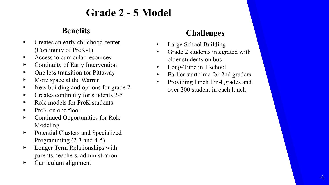## **Grade 2 - 5 Model**

### **Benefits**

- ▸ Creates an early childhood center (Continuity of PreK-1)
- ▸ Access to curricular resources
- ▸ Continuity of Early Intervention
- ▸ One less transition for Pittaway
- ▸ More space at the Warren
- New building and options for grade 2
- Creates continuity for students 2-5
- ▸ Role models for PreK students
- ▸ PreK on one floor
- ▸ Continued Opportunities for Role Modeling
- ▸ Potential Clusters and Specialized Programming (2-3 and 4-5)
- ▸ Longer Term Relationships with parents, teachers, administration
- ▸ Curriculum alignment

### **Challenges**

- Large School Building
- Grade 2 students integrated with older students on bus
- Long-Time in 1 school
- ▸ Earlier start time for 2nd graders
- ▸ Providing lunch for 4 grades and over 200 student in each lunch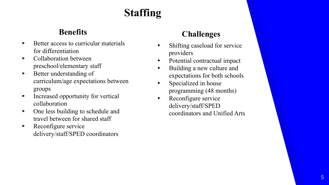# **Staffing**

### **Benefits**

- Better access to curricular materials for differentiation
- ▸ Collaboration between preschool/elementary staff
- ▸ Better understanding of curriculum/age expectations between groups
- ▸ Increased opportunity for vertical collaboration
- ▸ One less building to schedule and travel between for shared staff
- ▸ Reconfigure service delivery/staff/SPED coordinators

### **Challenges**

- ▸ Shifting caseload for service providers
- Potential contractual impact
- ▸ Building a new culture and expectations for both schools
- $\triangleright$  Specialized in house programming (48 months)
- ▸ Reconfigure service delivery/staff/SPED coordinators and Unified Arts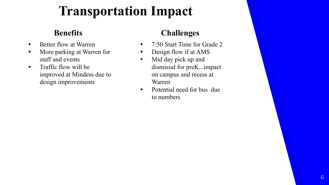# **Transportation Impact**

### **Benefits**

- ▸ Better flow at Warren
- ▸ More parking at Warren for staff and events
- ▸ Traffic flow will be improved at Mindess due to design improvements

### **Challenges**

- ▸ 7:50 Start Time for Grade 2
- Design flow if at AMS
- $\blacktriangleright$  Mid day pick up and dismissal for preK...impact on campus and recess at Warren
- ▸ Potential need for bus due to numbers